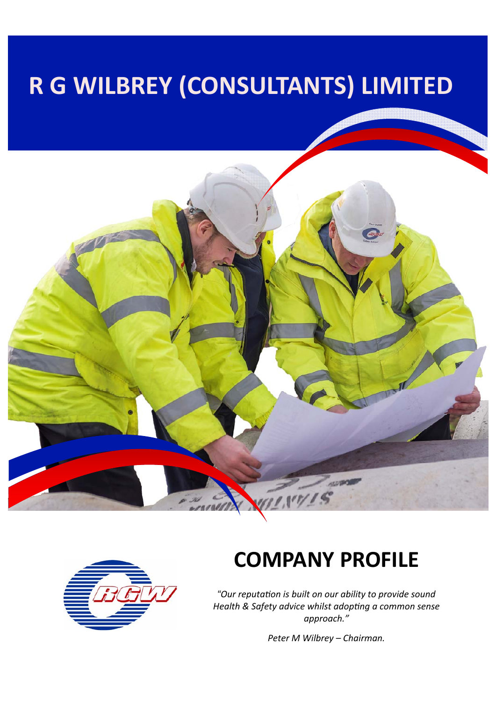# **R G WILBREY (CONSULTANTS) LIMITED**





## **COMPANY PROFILE**

*"Our reputaƟon is built on our ability to provide sound Health & Safety advice whilst adopƟng a common sense approach."* 

*Peter M Wilbrey – Chairman.*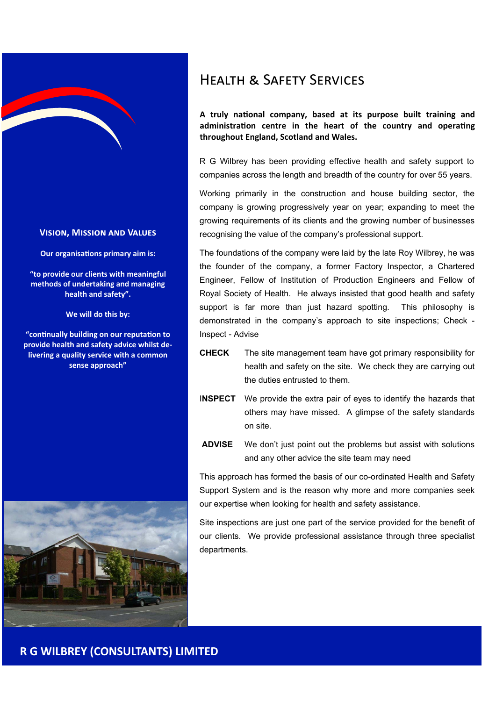

#### **VISION, MISSION AND VALUES**

**Our organisations primary aim is:** 

**"to provide our clients with meaningful methods of undertaking and managing health and safety".** 

**We will do this by:** 

**"conƟnually building on our reputaƟon to provide health and safety advice whilst de‐ livering a quality service with a common sense approach"** 



### HEAITH & SAFFTY SERVICES

A truly national company, based at its purpose built training and administration centre in the heart of the country and operating **throughout England, Scotland and Wales.** 

R G Wilbrey has been providing effective health and safety support to companies across the length and breadth of the country for over 55 years.

Working primarily in the construction and house building sector, the company is growing progressively year on year; expanding to meet the growing requirements of its clients and the growing number of businesses recognising the value of the company's professional support.

The foundations of the company were laid by the late Roy Wilbrey, he was the founder of the company, a former Factory Inspector, a Chartered Engineer, Fellow of Institution of Production Engineers and Fellow of Royal Society of Health. He always insisted that good health and safety support is far more than just hazard spotting. This philosophy is demonstrated in the company's approach to site inspections; Check - Inspect - Advise

- **CHECK** The site management team have got primary responsibility for health and safety on the site. We check they are carrying out the duties entrusted to them.
- I**NSPECT** We provide the extra pair of eyes to identify the hazards that others may have missed. A glimpse of the safety standards on site.
- **ADVISE** We don't just point out the problems but assist with solutions and any other advice the site team may need

This approach has formed the basis of our co-ordinated Health and Safety Support System and is the reason why more and more companies seek our expertise when looking for health and safety assistance.

Site inspections are just one part of the service provided for the benefit of our clients. We provide professional assistance through three specialist departments.

#### **R G WILBREY (CONSULTANTS) LIMITED**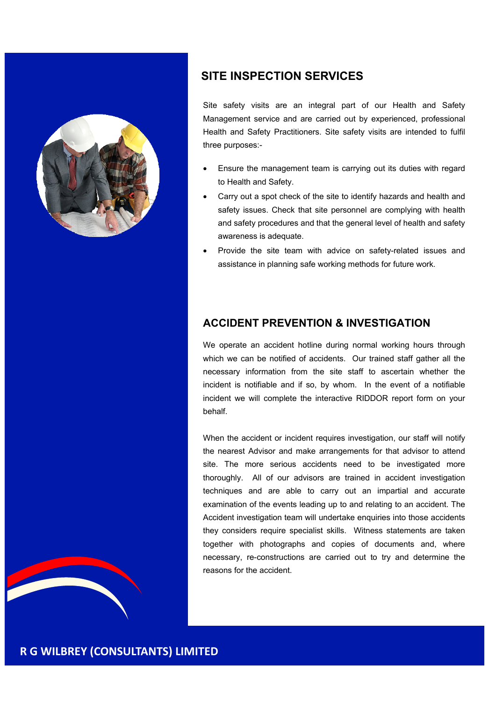

#### **SITE INSPECTION SERVICES**

Site safety visits are an integral part of our Health and Safety Management service and are carried out by experienced, professional Health and Safety Practitioners. Site safety visits are intended to fulfil three purposes:-

- Ensure the management team is carrying out its duties with regard to Health and Safety.
- Carry out a spot check of the site to identify hazards and health and safety issues. Check that site personnel are complying with health and safety procedures and that the general level of health and safety awareness is adequate.
- Provide the site team with advice on safety-related issues and assistance in planning safe working methods for future work.

#### **ACCIDENT PREVENTION & INVESTIGATION**

We operate an accident hotline during normal working hours through which we can be notified of accidents. Our trained staff gather all the necessary information from the site staff to ascertain whether the incident is notifiable and if so, by whom. In the event of a notifiable incident we will complete the interactive RIDDOR report form on your behalf.

When the accident or incident requires investigation, our staff will notify the nearest Advisor and make arrangements for that advisor to attend site. The more serious accidents need to be investigated more thoroughly. All of our advisors are trained in accident investigation techniques and are able to carry out an impartial and accurate examination of the events leading up to and relating to an accident. The Accident investigation team will undertake enquiries into those accidents they considers require specialist skills. Witness statements are taken together with photographs and copies of documents and, where necessary, re-constructions are carried out to try and determine the reasons for the accident.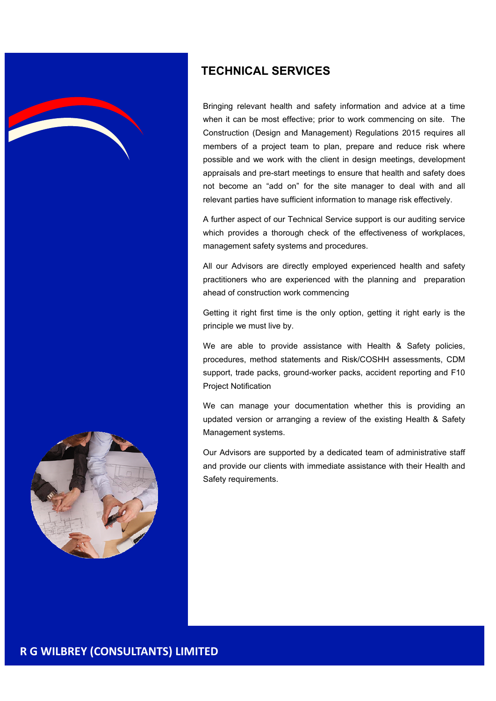

#### **TECHNICAL SERVICES**

Bringing relevant health and safety information and advice at a time when it can be most effective; prior to work commencing on site. The Construction (Design and Management) Regulations 2015 requires all members of a project team to plan, prepare and reduce risk where possible and we work with the client in design meetings, development appraisals and pre-start meetings to ensure that health and safety does not become an "add on" for the site manager to deal with and all relevant parties have sufficient information to manage risk effectively.

A further aspect of our Technical Service support is our auditing service which provides a thorough check of the effectiveness of workplaces, management safety systems and procedures.

All our Advisors are directly employed experienced health and safety practitioners who are experienced with the planning and preparation ahead of construction work commencing

Getting it right first time is the only option, getting it right early is the principle we must live by.

We are able to provide assistance with Health & Safety policies, procedures, method statements and Risk/COSHH assessments, CDM support, trade packs, ground-worker packs, accident reporting and F10 Project Notification

We can manage your documentation whether this is providing an updated version or arranging a review of the existing Health & Safety Management systems.

Our Advisors are supported by a dedicated team of administrative staff and provide our clients with immediate assistance with their Health and Safety requirements.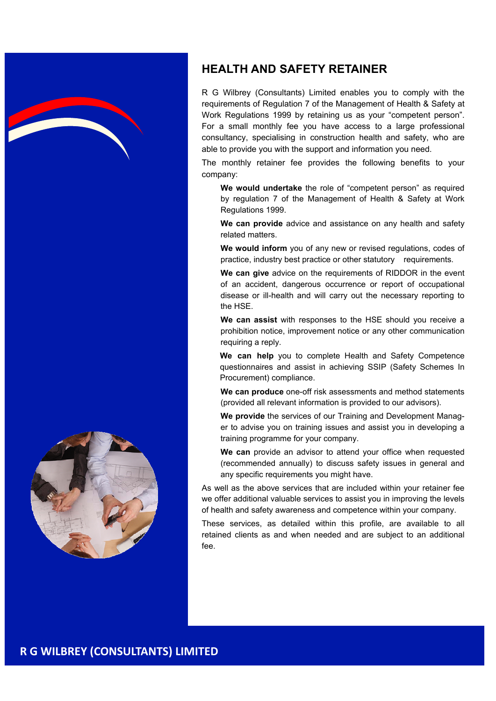

#### **HEALTH AND SAFETY RETAINER**

R G Wilbrey (Consultants) Limited enables you to comply with the requirements of Regulation 7 of the Management of Health & Safety at Work Regulations 1999 by retaining us as your "competent person". For a small monthly fee you have access to a large professional consultancy, specialising in construction health and safety, who are able to provide you with the support and information you need.

The monthly retainer fee provides the following benefits to your company:

**We would undertake** the role of "competent person" as required by regulation 7 of the Management of Health & Safety at Work Regulations 1999.

 **We can provide** advice and assistance on any health and safety related matters.

 **We would inform** you of any new or revised regulations, codes of practice, industry best practice or other statutory requirements.

 **We can give** advice on the requirements of RIDDOR in the event of an accident, dangerous occurrence or report of occupational disease or ill-health and will carry out the necessary reporting to the HSE.

 **We can assist** with responses to the HSE should you receive a prohibition notice, improvement notice or any other communication requiring a reply.

 **We can help** you to complete Health and Safety Competence questionnaires and assist in achieving SSIP (Safety Schemes In Procurement) compliance.

 **We can produce** one-off risk assessments and method statements (provided all relevant information is provided to our advisors).

 **We provide** the services of our Training and Development Manager to advise you on training issues and assist you in developing a training programme for your company.

**We can** provide an advisor to attend your office when requested (recommended annually) to discuss safety issues in general and any specific requirements you might have.

As well as the above services that are included within your retainer fee we offer additional valuable services to assist you in improving the levels of health and safety awareness and competence within your company.

These services, as detailed within this profile, are available to all retained clients as and when needed and are subject to an additional fee..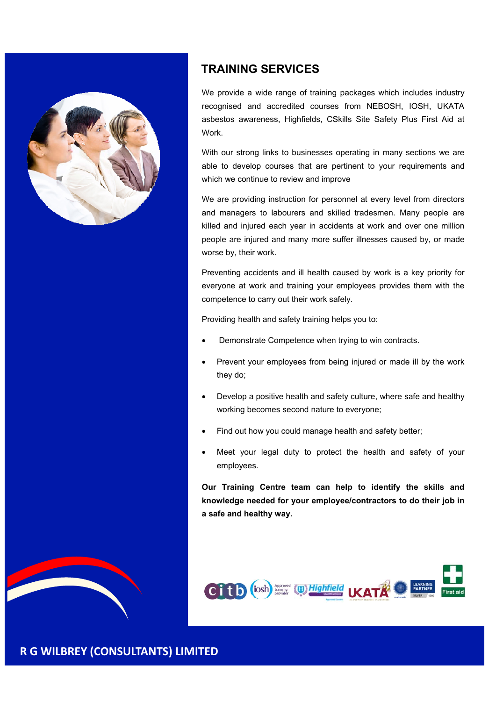

#### **TRAINING SERVICES**

We provide a wide range of training packages which includes industry recognised and accredited courses from NEBOSH, IOSH, UKATA asbestos awareness, Highfields, CSkills Site Safety Plus First Aid at Work.

With our strong links to businesses operating in many sections we are able to develop courses that are pertinent to your requirements and which we continue to review and improve

We are providing instruction for personnel at every level from directors and managers to labourers and skilled tradesmen. Many people are killed and injured each year in accidents at work and over one million people are injured and many more suffer illnesses caused by, or made worse by, their work.

Preventing accidents and ill health caused by work is a key priority for everyone at work and training your employees provides them with the competence to carry out their work safely.

Providing health and safety training helps you to:

- Demonstrate Competence when trying to win contracts.
- Prevent your employees from being injured or made ill by the work they do;
- Develop a positive health and safety culture, where safe and healthy working becomes second nature to everyone;
- Find out how you could manage health and safety better;
- Meet your legal duty to protect the health and safety of your employees.

**Our Training Centre team can help to identify the skills and knowledge needed for your employee/contractors to do their job in a safe and healthy way.**